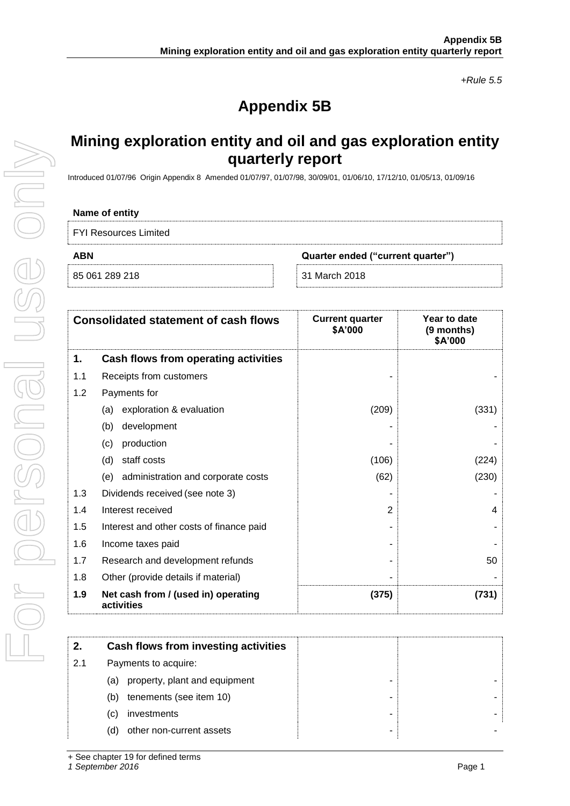*+Rule 5.5*

# **Appendix 5B**

## **Mining exploration entity and oil and gas exploration entity quarterly report**

Introduced 01/07/96 Origin Appendix 8 Amended 01/07/97, 01/07/98, 30/09/01, 01/06/10, 17/12/10, 01/05/13, 01/09/16

### **Name of entity**

FYI Resources Limited

**ABN Quarter ended ("current quarter")**

85 061 289 218 31 March 2018

| <b>Consolidated statement of cash flows</b> |                                                   | <b>Current quarter</b><br>\$A'000 | Year to date<br>(9 months)<br>\$A'000 |
|---------------------------------------------|---------------------------------------------------|-----------------------------------|---------------------------------------|
| 1.                                          | Cash flows from operating activities              |                                   |                                       |
| 1.1                                         | Receipts from customers                           |                                   |                                       |
| 1.2                                         | Payments for                                      |                                   |                                       |
|                                             | exploration & evaluation<br>(a)                   | (209)                             | (331)                                 |
|                                             | development<br>(b)                                |                                   |                                       |
|                                             | production<br>(c)                                 |                                   |                                       |
|                                             | staff costs<br>(d)                                | (106)                             | (224)                                 |
|                                             | administration and corporate costs<br>(e)         | (62)                              | (230)                                 |
| 1.3                                         | Dividends received (see note 3)                   |                                   |                                       |
| 1.4                                         | Interest received                                 | 2                                 | 4                                     |
| 1.5                                         | Interest and other costs of finance paid          |                                   |                                       |
| 1.6                                         | Income taxes paid                                 |                                   |                                       |
| 1.7                                         | Research and development refunds                  |                                   | 50                                    |
| 1.8                                         | Other (provide details if material)               |                                   |                                       |
| 1.9                                         | Net cash from / (used in) operating<br>activities | (375)                             | (731)                                 |

| 2.  | Cash flows from investing activities |  |
|-----|--------------------------------------|--|
| 2.1 | Payments to acquire:                 |  |
|     | property, plant and equipment<br>(a) |  |
|     | tenements (see item 10)<br>(b)       |  |
|     | investments<br>(c)                   |  |
|     | other non-current assets<br>(d)      |  |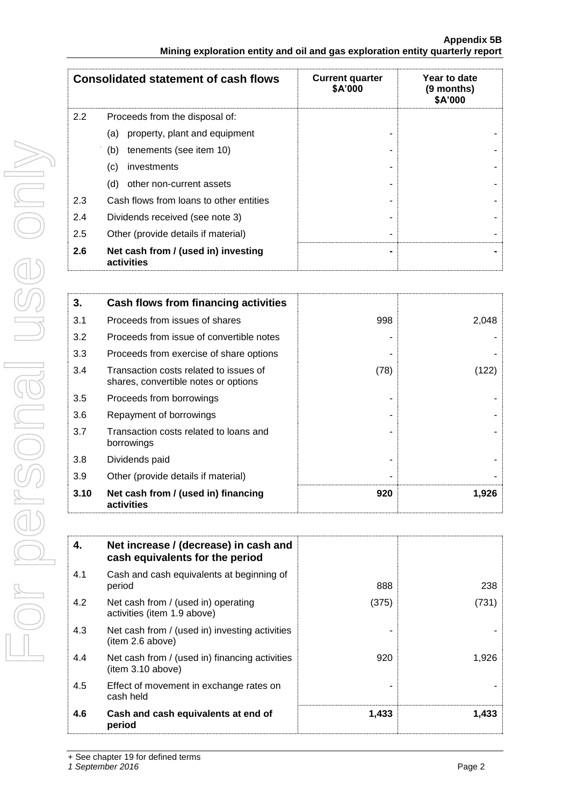|     | <b>Consolidated statement of cash flows</b>       | <b>Current quarter</b><br>\$A'000 | Year to date<br>(9 months)<br>\$A'000 |
|-----|---------------------------------------------------|-----------------------------------|---------------------------------------|
| 2.2 | Proceeds from the disposal of:                    |                                   |                                       |
|     | property, plant and equipment<br>(a)              |                                   |                                       |
|     | tenements (see item 10)<br>(b)                    |                                   |                                       |
|     | investments<br>(c)                                |                                   |                                       |
|     | (d)<br>other non-current assets                   |                                   |                                       |
| 2.3 | Cash flows from loans to other entities           |                                   |                                       |
| 2.4 | Dividends received (see note 3)                   |                                   |                                       |
| 2.5 | Other (provide details if material)               |                                   |                                       |
| 2.6 | Net cash from / (used in) investing<br>activities |                                   |                                       |

| 3.   | Cash flows from financing activities                                           |      |       |
|------|--------------------------------------------------------------------------------|------|-------|
| 3.1  | Proceeds from issues of shares                                                 | 998  | 2,048 |
| 3.2  | Proceeds from issue of convertible notes                                       |      |       |
| 3.3  | Proceeds from exercise of share options                                        |      |       |
| 3.4  | Transaction costs related to issues of<br>shares, convertible notes or options | (78) | 1221  |
| 3.5  | Proceeds from borrowings                                                       |      |       |
| 3.6  | Repayment of borrowings                                                        |      |       |
| 3.7  | Transaction costs related to loans and<br>borrowings                           |      |       |
| 3.8  | Dividends paid                                                                 |      |       |
| 3.9  | Other (provide details if material)                                            |      |       |
| 3.10 | Net cash from / (used in) financing<br>activities                              | 920  | 1,926 |

| 4.  | Net increase / (decrease) in cash and<br>cash equivalents for the period |       |       |
|-----|--------------------------------------------------------------------------|-------|-------|
| 4.1 | Cash and cash equivalents at beginning of<br>period                      | 888   | 238   |
| 4.2 | Net cash from / (used in) operating<br>activities (item 1.9 above)       | (375) | (731) |
| 4.3 | Net cash from / (used in) investing activities<br>(item 2.6 above)       |       |       |
| 4.4 | Net cash from / (used in) financing activities<br>(item 3.10 above)      | 920   | 1,926 |
| 4.5 | Effect of movement in exchange rates on<br>cash held                     |       |       |
| 4.6 | Cash and cash equivalents at end of<br>period                            | 1,433 | 1,433 |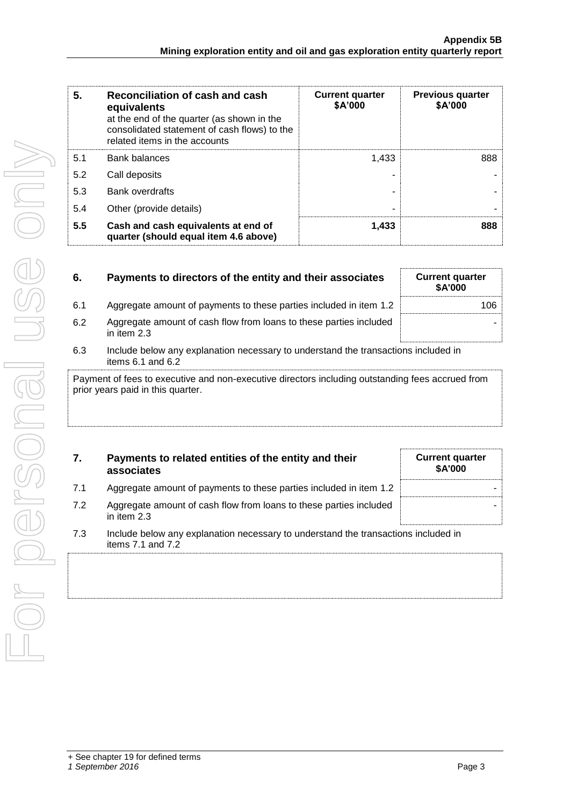| 5.  | Reconciliation of cash and cash<br>equivalents<br>at the end of the quarter (as shown in the<br>consolidated statement of cash flows) to the<br>related items in the accounts | <b>Current quarter</b><br>\$A'000 | <b>Previous quarter</b><br>\$A'000 |
|-----|-------------------------------------------------------------------------------------------------------------------------------------------------------------------------------|-----------------------------------|------------------------------------|
| 5.1 | <b>Bank balances</b>                                                                                                                                                          | 1.433                             | 888                                |
| 5.2 | Call deposits                                                                                                                                                                 |                                   |                                    |
| 5.3 | <b>Bank overdrafts</b>                                                                                                                                                        |                                   |                                    |
| 5.4 | Other (provide details)                                                                                                                                                       | $\overline{\phantom{0}}$          |                                    |
| 5.5 | Cash and cash equivalents at end of<br>quarter (should equal item 4.6 above)                                                                                                  | 1,433                             | 888                                |

| 6.  | Payments to directors of the entity and their associates                                                                            | <b>Current quarter</b><br>\$A'000 |
|-----|-------------------------------------------------------------------------------------------------------------------------------------|-----------------------------------|
| 6.1 | Aggregate amount of payments to these parties included in item 1.2                                                                  | 106.                              |
| 6.2 | Aggregate amount of cash flow from loans to these parties included<br>in item 2.3                                                   |                                   |
| 6.3 | Include below any explanation necessary to understand the transactions included in<br>items $6.1$ and $6.2$                         |                                   |
|     | Payment of fees to executive and non-executive directors including outstanding fees accrued from<br>prior usare poid in this sustan |                                   |

Payment of fees to executive and non-executive directors including outstanding fees accrued from prior years paid in this quarter.

| 7. | Payments to related entities of the entity and their<br>associates |
|----|--------------------------------------------------------------------|
|    |                                                                    |

7.1 Aggregate amount of payments to these parties included in item 1.2 7.2 Aggregate amount of cash flow from loans to these parties included

|  | <b>Current quarter</b> | \$A'000 |  |
|--|------------------------|---------|--|
|  |                        |         |  |
|  |                        |         |  |
|  |                        |         |  |

7.3 Include below any explanation necessary to understand the transactions included in items 7.1 and 7.2

in item 2.3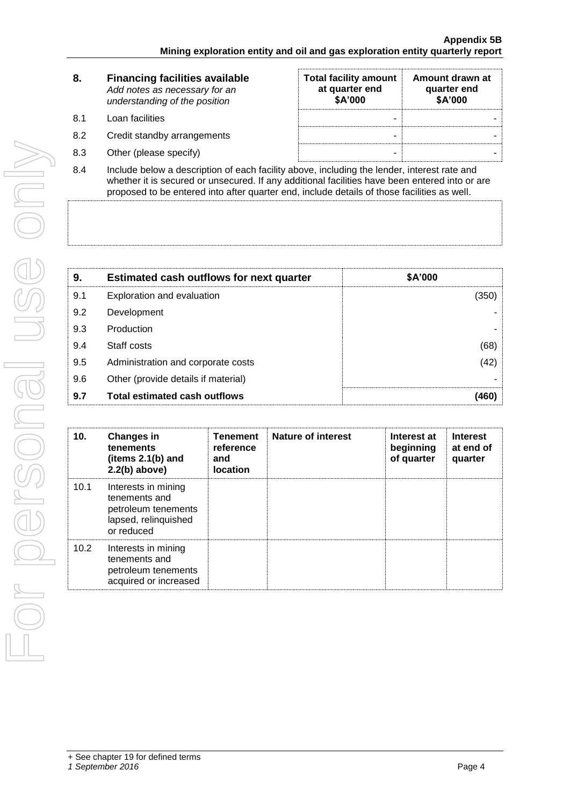| 8.         | <b>Financing facilities available</b><br>Add notes as necessary for an<br>understanding of the position   | <b>Total facility amount</b><br>at quarter end<br>\$A'000 | Amount drawn at<br>quarter end<br>\$A'000 |
|------------|-----------------------------------------------------------------------------------------------------------|-----------------------------------------------------------|-------------------------------------------|
| 8.1        | Loan facilities                                                                                           | -                                                         |                                           |
| 8.2        | Credit standby arrangements                                                                               | -                                                         |                                           |
| 8.3        | Other (please specify)                                                                                    | ۰                                                         |                                           |
| <b>0</b> 4 | المعرم وغمر فموجعته والمطموع المطه ومطالبها والممرار والتراثيم والمحمر فمراقع والمشمول والمرامط والمسامعا |                                                           |                                           |

8.4 Include below a description of each facility above, including the lender, interest rate and whether it is secured or unsecured. If any additional facilities have been entered into or are proposed to be entered into after quarter end, include details of those facilities as well.

| 9.  | <b>Estimated cash outflows for next quarter</b> | \$A'000 |
|-----|-------------------------------------------------|---------|
| 9.1 | Exploration and evaluation                      | (350)   |
| 9.2 | Development                                     |         |
| 9.3 | Production                                      |         |
| 9.4 | Staff costs                                     | (68)    |
| 9.5 | Administration and corporate costs              | (42)    |
| 9.6 | Other (provide details if material)             |         |
| 9.7 | <b>Total estimated cash outflows</b>            | (460    |

| 10.  | <b>Changes in</b><br>tenements<br>(items 2.1(b) and<br>$2.2(b)$ above)                            | <b>Tenement</b><br>reference<br>and<br>location | <b>Nature of interest</b> | Interest at<br>beginning<br>of quarter | <b>Interest</b><br>at end of<br>quarter |
|------|---------------------------------------------------------------------------------------------------|-------------------------------------------------|---------------------------|----------------------------------------|-----------------------------------------|
| 10.1 | Interests in mining<br>tenements and<br>petroleum tenements<br>lapsed, relinquished<br>or reduced |                                                 |                           |                                        |                                         |
| 10.2 | Interests in mining<br>tenements and<br>petroleum tenements<br>acquired or increased              |                                                 |                           |                                        |                                         |